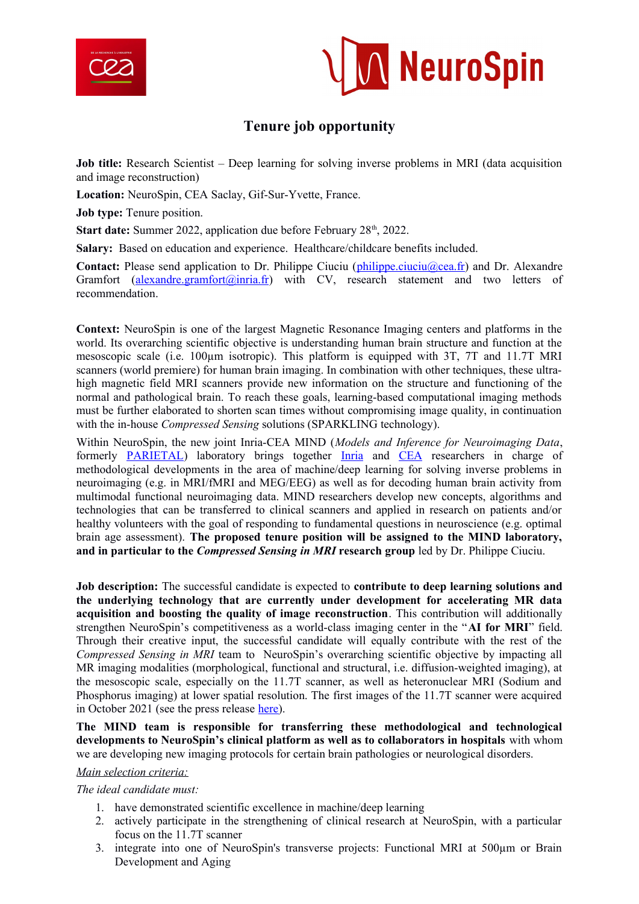



## **Tenure job opportunity**

**Job title:** Research Scientist – Deep learning for solving inverse problems in MRI (data acquisition and image reconstruction)

**Location:** NeuroSpin, CEA Saclay, Gif-Sur-Yvette, France.

**Job type:** Tenure position.

**Start date:** Summer 2022, application due before February 28<sup>th</sup>, 2022.

**Salary:** Based on education and experience. Healthcare/childcare benefits included.

Contact: Please send application to Dr. Philippe Ciuciu (*philippe.ciuciu@cea.fr*) and Dr. Alexandre Gramfort (alexandre.gramfort@inria.fr) with CV, research statement and two letters of recommendation.

**Context:** NeuroSpin is one of the largest Magnetic Resonance Imaging centers and platforms in the world. Its overarching scientific objective is understanding human brain structure and function at the mesoscopic scale (i.e. 100µm isotropic). This platform is equipped with 3T, 7T and 11.7T MRI scanners (world premiere) for human brain imaging. In combination with other techniques, these ultrahigh magnetic field MRI scanners provide new information on the structure and functioning of the normal and pathological brain. To reach these goals, learning-based computational imaging methods must be further elaborated to shorten scan times without compromising image quality, in continuation with the in-house *Compressed Sensing* solutions (SPARKLING technology).

Within NeuroSpin, the new joint Inria-CEA MIND (*Models and Inference for Neuroimaging Data*, formerly PARIETAL) laboratory brings together Inria and CEA researchers in charge of methodological developments in the area of machine/deep learning for solving inverse problems in neuroimaging (e.g. in MRI/fMRI and MEG/EEG) as well as for decoding human brain activity from multimodal functional neuroimaging data. MIND researchers develop new concepts, algorithms and technologies that can be transferred to clinical scanners and applied in research on patients and/or healthy volunteers with the goal of responding to fundamental questions in neuroscience (e.g. optimal brain age assessment). **The proposed tenure position will be assigned to the MIND laboratory, and in particular to the** *Compressed Sensing in MRI* **research group** led by Dr. Philippe Ciuciu.

**Job description:** The successful candidate is expected to **contribute to deep learning solutions and the underlying technology that are currently under development for accelerating MR data acquisition and boosting the quality of image reconstruction**. This contribution will additionally strengthen NeuroSpin's competitiveness as a world-class imaging center in the "**AI for MRI**" field. Through their creative input, the successful candidate will equally contribute with the rest of the *Compressed Sensing in MRI* team to NeuroSpin's overarching scientific objective by impacting all MR imaging modalities (morphological, functional and structural, i.e. diffusion-weighted imaging), at the mesoscopic scale, especially on the 11.7T scanner, as well as heteronuclear MRI (Sodium and Phosphorus imaging) at lower spatial resolution. The first images of the 11.7T scanner were acquired in October 2021 (see the press release [here](https://www.cea.fr/english/Pages/News/premieres-images-irm-iseult-2021.aspx)).

**The MIND team is responsible for transferring these methodological and technological developments to NeuroSpin's clinical platform as well as to collaborators in hospitals** with whom we are developing new imaging protocols for certain brain pathologies or neurological disorders.

## *Main selection criteria:*

*The ideal candidate must:*

- 1. have demonstrated scientific excellence in machine/deep learning
- 2. actively participate in the strengthening of clinical research at NeuroSpin, with a particular focus on the 11.7T scanner
- 3. integrate into one of NeuroSpin's transverse projects: Functional MRI at 500µm or Brain Development and Aging